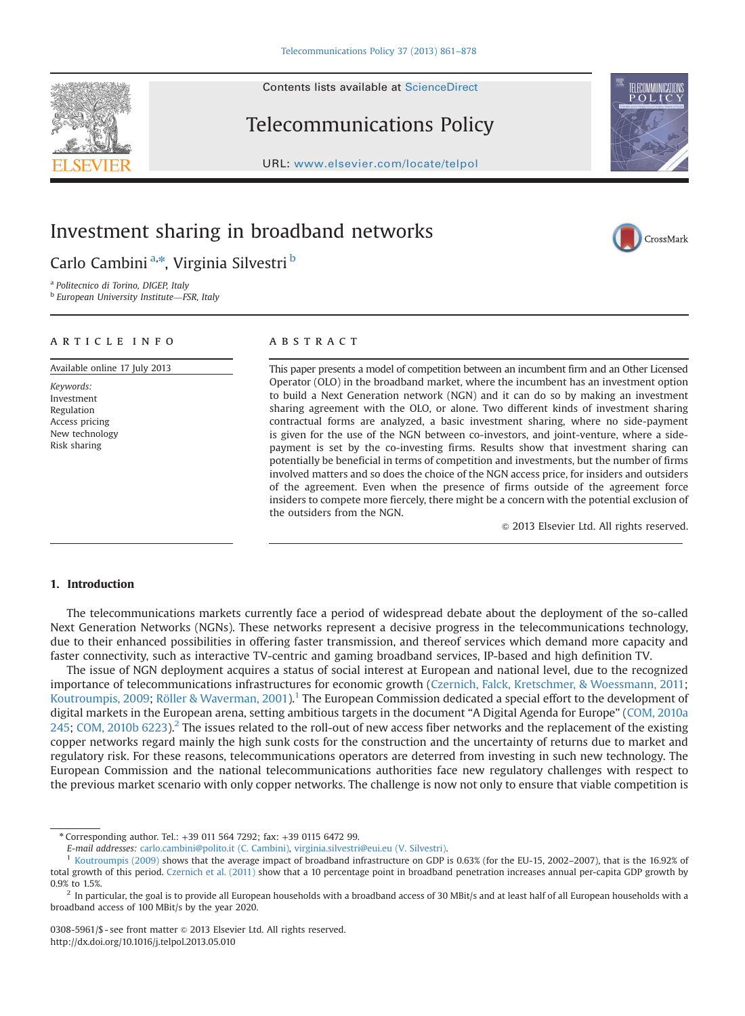Contents lists available at [ScienceDirect](www.sciencedirect.com/science/journal/03085961)

## Telecommunications Policy

URL: <www.elsevier.com/locate/telpol>

### Investment sharing in broadband networks

Carlo Cambini<sup>a,\*</sup>, Virginia Silvestri <sup>b</sup>

<sup>a</sup> Politecnico di Torino, DIGEP, Italy <sup>b</sup> European University Institute—FSR, Italy

#### article info

Available online 17 July 2013

Keywords: Investment Regulation Access pricing New technology Risk sharing

### **ABSTRACT**

This paper presents a model of competition between an incumbent firm and an Other Licensed Operator (OLO) in the broadband market, where the incumbent has an investment option to build a Next Generation network (NGN) and it can do so by making an investment sharing agreement with the OLO, or alone. Two different kinds of investment sharing contractual forms are analyzed, a basic investment sharing, where no side-payment is given for the use of the NGN between co-investors, and joint-venture, where a sidepayment is set by the co-investing firms. Results show that investment sharing can potentially be beneficial in terms of competition and investments, but the number of firms involved matters and so does the choice of the NGN access price, for insiders and outsiders of the agreement. Even when the presence of firms outside of the agreement force insiders to compete more fiercely, there might be a concern with the potential exclusion of the outsiders from the NGN.

 $©$  2013 Elsevier Ltd. All rights reserved.

### 1. Introduction

The telecommunications markets currently face a period of widespread debate about the deployment of the so-called Next Generation Networks (NGNs). These networks represent a decisive progress in the telecommunications technology, due to their enhanced possibilities in offering faster transmission, and thereof services which demand more capacity and faster connectivity, such as interactive TV-centric and gaming broadband services, IP-based and high definition TV.

The issue of NGN deployment acquires a status of social interest at European and national level, due to the recognized importance of telecommunications infrastructures for economic growth [\(Czernich, Falck, Kretschmer,](#page--1-0) [& Woessmann, 2011](#page--1-0); [Koutroumpis, 2009](#page--1-0); [Röller & Waverman, 2001\)](#page--1-0).<sup>1</sup> The European Commission dedicated a special effort to the development of digital markets in the European arena, setting ambitious targets in the document "A Digital Agenda for Europe" [\(COM, 2010a](#page--1-0)  $245$ ; [COM, 2010b 6223\)](#page--1-0).<sup>2</sup> The issues related to the roll-out of new access fiber networks and the replacement of the existing copper networks regard mainly the high sunk costs for the construction and the uncertainty of returns due to market and regulatory risk. For these reasons, telecommunications operators are deterred from investing in such new technology. The European Commission and the national telecommunications authorities face new regulatory challenges with respect to the previous market scenario with only copper networks. The challenge is now not only to ensure that viable competition is

<http://dx.doi.org/10.1016/j.telpol.2013.05.010>







<sup>n</sup> Corresponding author. Tel.: +39 011 564 7292; fax: +39 0115 6472 99.

E-mail addresses: [carlo.cambini@polito.it \(C. Cambini\)](mailto:carlo.cambini@polito.it), [virginia.silvestri@eui.eu \(V. Silvestri\)](mailto:virginia.silvestri@eui.eu).

<sup>1</sup> [Koutroumpis \(2009\)](#page--1-0) shows that the average impact of broadband infrastructure on GDP is 0.63% (for the EU-15, 2002–2007), that is the 16.92% of total growth of this period. [Czernich et al. \(2011\)](#page--1-0) show that a 10 percentage point in broadband penetration increases annual per-capita GDP growth by 0.9% to 1.5%.

 $^2$  In particular, the goal is to provide all European households with a broadband access of 30 MBit/s and at least half of all European households with a broadband access of 100 MBit/s by the year 2020.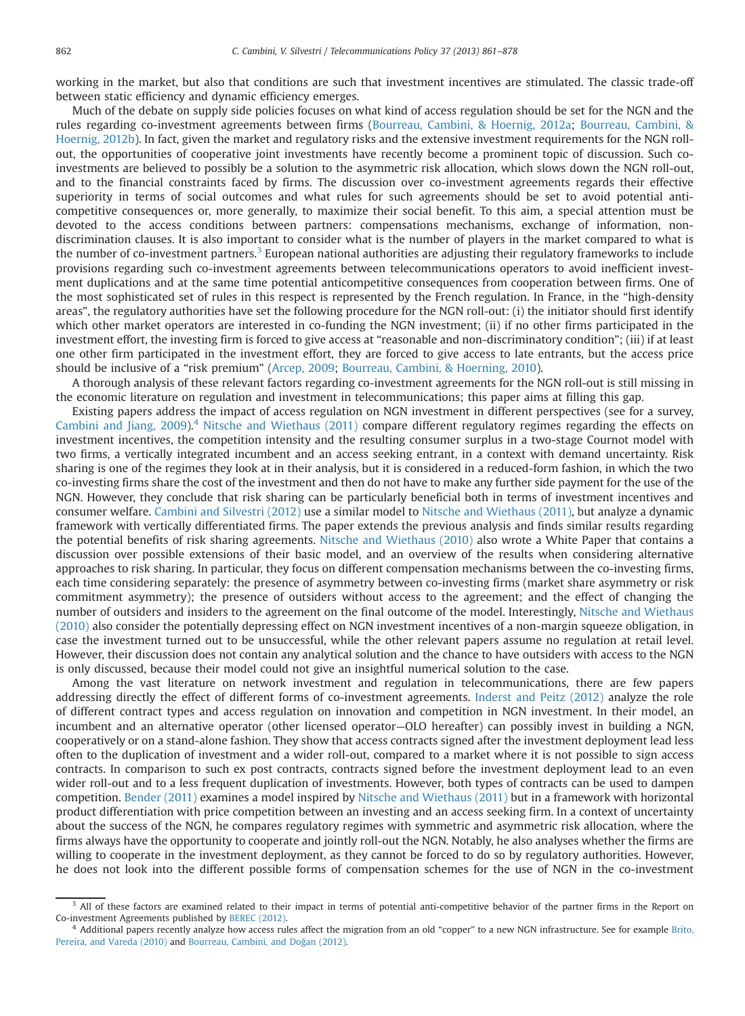working in the market, but also that conditions are such that investment incentives are stimulated. The classic trade-off between static efficiency and dynamic efficiency emerges.

Much of the debate on supply side policies focuses on what kind of access regulation should be set for the NGN and the rules regarding co-investment agreements between firms [\(Bourreau, Cambini, & Hoernig, 2012a;](#page--1-0) [Bourreau, Cambini,](#page--1-0) & [Hoernig, 2012b](#page--1-0)). In fact, given the market and regulatory risks and the extensive investment requirements for the NGN rollout, the opportunities of cooperative joint investments have recently become a prominent topic of discussion. Such coinvestments are believed to possibly be a solution to the asymmetric risk allocation, which slows down the NGN roll-out, and to the financial constraints faced by firms. The discussion over co-investment agreements regards their effective superiority in terms of social outcomes and what rules for such agreements should be set to avoid potential anticompetitive consequences or, more generally, to maximize their social benefit. To this aim, a special attention must be devoted to the access conditions between partners: compensations mechanisms, exchange of information, nondiscrimination clauses. It is also important to consider what is the number of players in the market compared to what is the number of co-investment partners.<sup>3</sup> European national authorities are adjusting their regulatory frameworks to include provisions regarding such co-investment agreements between telecommunications operators to avoid inefficient investment duplications and at the same time potential anticompetitive consequences from cooperation between firms. One of the most sophisticated set of rules in this respect is represented by the French regulation. In France, in the "high-density areas", the regulatory authorities have set the following procedure for the NGN roll-out: (i) the initiator should first identify which other market operators are interested in co-funding the NGN investment; (ii) if no other firms participated in the investment effort, the investing firm is forced to give access at "reasonable and non-discriminatory condition"; (iii) if at least one other firm participated in the investment effort, they are forced to give access to late entrants, but the access price should be inclusive of a "risk premium" ([Arcep, 2009;](#page--1-0) [Bourreau, Cambini,](#page--1-0) [& Hoerning, 2010](#page--1-0)).

A thorough analysis of these relevant factors regarding co-investment agreements for the NGN roll-out is still missing in the economic literature on regulation and investment in telecommunications; this paper aims at filling this gap.

Existing papers address the impact of access regulation on NGN investment in different perspectives (see for a survey, [Cambini and Jiang, 2009\)](#page--1-0).<sup>4</sup> [Nitsche and Wiethaus \(2011\)](#page--1-0) compare different regulatory regimes regarding the effects on investment incentives, the competition intensity and the resulting consumer surplus in a two-stage Cournot model with two firms, a vertically integrated incumbent and an access seeking entrant, in a context with demand uncertainty. Risk sharing is one of the regimes they look at in their analysis, but it is considered in a reduced-form fashion, in which the two co-investing firms share the cost of the investment and then do not have to make any further side payment for the use of the NGN. However, they conclude that risk sharing can be particularly beneficial both in terms of investment incentives and consumer welfare. [Cambini and Silvestri \(2012\)](#page--1-0) use a similar model to [Nitsche and Wiethaus \(2011\),](#page--1-0) but analyze a dynamic framework with vertically differentiated firms. The paper extends the previous analysis and finds similar results regarding the potential benefits of risk sharing agreements. [Nitsche and Wiethaus \(2010\)](#page--1-0) also wrote a White Paper that contains a discussion over possible extensions of their basic model, and an overview of the results when considering alternative approaches to risk sharing. In particular, they focus on different compensation mechanisms between the co-investing firms, each time considering separately: the presence of asymmetry between co-investing firms (market share asymmetry or risk commitment asymmetry); the presence of outsiders without access to the agreement; and the effect of changing the number of outsiders and insiders to the agreement on the final outcome of the model. Interestingly, [Nitsche and Wiethaus](#page--1-0) [\(2010\)](#page--1-0) also consider the potentially depressing effect on NGN investment incentives of a non-margin squeeze obligation, in case the investment turned out to be unsuccessful, while the other relevant papers assume no regulation at retail level. However, their discussion does not contain any analytical solution and the chance to have outsiders with access to the NGN is only discussed, because their model could not give an insightful numerical solution to the case.

Among the vast literature on network investment and regulation in telecommunications, there are few papers addressing directly the effect of different forms of co-investment agreements. [Inderst and Peitz \(2012\)](#page--1-0) analyze the role of different contract types and access regulation on innovation and competition in NGN investment. In their model, an incumbent and an alternative operator (other licensed operator—OLO hereafter) can possibly invest in building a NGN, cooperatively or on a stand-alone fashion. They show that access contracts signed after the investment deployment lead less often to the duplication of investment and a wider roll-out, compared to a market where it is not possible to sign access contracts. In comparison to such ex post contracts, contracts signed before the investment deployment lead to an even wider roll-out and to a less frequent duplication of investments. However, both types of contracts can be used to dampen competition. [Bender \(2011\)](#page--1-0) examines a model inspired by [Nitsche and Wiethaus \(2011\)](#page--1-0) but in a framework with horizontal product differentiation with price competition between an investing and an access seeking firm. In a context of uncertainty about the success of the NGN, he compares regulatory regimes with symmetric and asymmetric risk allocation, where the firms always have the opportunity to cooperate and jointly roll-out the NGN. Notably, he also analyses whether the firms are willing to cooperate in the investment deployment, as they cannot be forced to do so by regulatory authorities. However, he does not look into the different possible forms of compensation schemes for the use of NGN in the co-investment

<sup>&</sup>lt;sup>3</sup> All of these factors are examined related to their impact in terms of potential anti-competitive behavior of the partner firms in the Report on Co-investment Agreements published by [BEREC \(2012\).](#page--1-0)

<sup>4</sup> Additional papers recently analyze how access rules affect the migration from an old "copper" to a new NGN infrastructure. See for example [Brito,](#page--1-0) [Pereira, and Vareda \(2010\)](#page--1-0) and [Bourreau, Cambini, and Do](#page--1-0)ğan (2012).